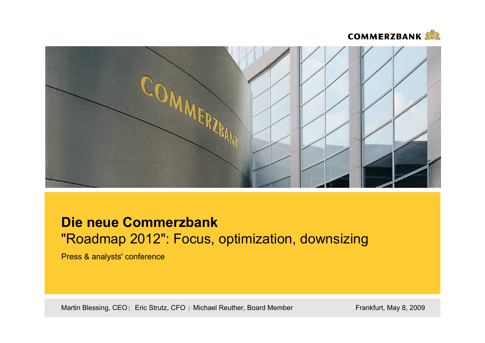



# **Die neue Commerzbank** "Roadmap 2012": Focus, optimization, downsizing

Press & analysts' conference

Martin Blessing, CEO | Eric Strutz, CFO | Michael Reuther, Board Member Frankfurt, May 8, 2009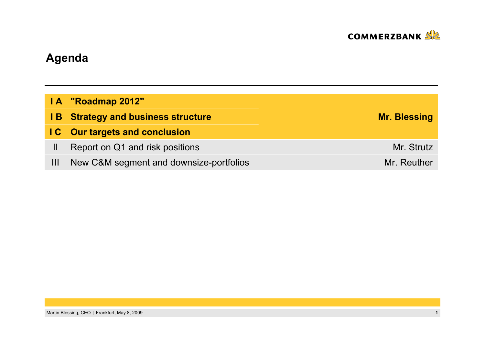

# **Agenda**

|              | IA "Roadmap 2012"                         |                     |
|--------------|-------------------------------------------|---------------------|
|              | <b>IB</b> Strategy and business structure | <b>Mr. Blessing</b> |
|              | <b>IC</b> Our targets and conclusion      |                     |
| $\mathbf{H}$ | Report on Q1 and risk positions           | Mr. Strutz          |
| Ш            | New C&M segment and downsize-portfolios   | Mr. Reuther         |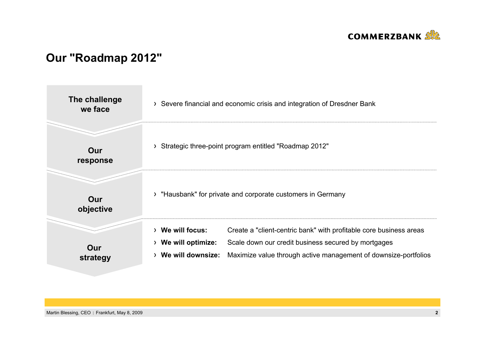

### **Our "Roadmap 2012"**

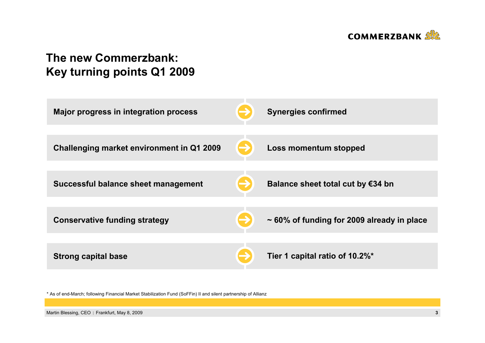

## **The new Commerzbank: Key turning points Q1 2009**



\* As of end-March; following Financial Market Stabilization Fund (SoFFin) II and silent partnership of Allianz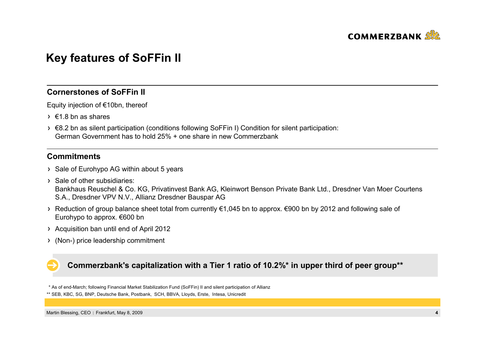

### **Key features of SoFFin II**

### **Cornerstones of SoFFin II**

Equity injection of €10bn, thereof

- $\rightarrow$   $\epsilon$ 1.8 bn as shares
- €8.2 bn as silent participation (conditions following SoFFin I) Condition for silent participation: German Government has to hold 25% + one share in new Commerzbank

### **Commitments**

- > Sale of Eurohypo AG within about 5 years
- $\rightarrow$  Sale of other subsidiaries: Bankhaus Reuschel & Co. KG, Privatinvest Bank AG, Kleinwort Benson Private Bank Ltd., Dresdner Van Moer Courtens S.A., Dresdner VPV N.V., Allianz Dresdner Bauspar AG
- Reduction of group balance sheet total from currently €1,045 bn to approx. €900 bn by 2012 and following sale of Eurohypo to approx. €600 bn
- Acquisition ban until end of April 2012
- (Non-) price leadership commitment

### **Commerzbank's capitalization with a Tier 1 ratio of 10.2%\* in upper third of peer group\*\***

\* As of end-March; following Financial Market Stabilization Fund (SoFFin) II and silent participation of Allianz

<sup>\*\*</sup> SEB, KBC, SG, BNP, Deutsche Bank, Postbank, SCH, BBVA, Lloyds, Erste, Intesa, Unicredit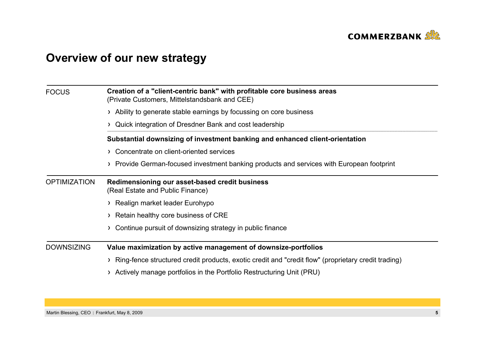

# **Overview of our new strategy**

| <b>FOCUS</b>        | Creation of a "client-centric bank" with profitable core business areas<br>(Private Customers, Mittelstandsbank and CEE) |  |  |
|---------------------|--------------------------------------------------------------------------------------------------------------------------|--|--|
|                     | > Ability to generate stable earnings by focussing on core business                                                      |  |  |
|                     | Quick integration of Dresdner Bank and cost leadership                                                                   |  |  |
|                     | Substantial downsizing of investment banking and enhanced client-orientation                                             |  |  |
|                     | > Concentrate on client-oriented services                                                                                |  |  |
|                     | Provide German-focused investment banking products and services with European footprint                                  |  |  |
| <b>OPTIMIZATION</b> | Redimensioning our asset-based credit business<br>(Real Estate and Public Finance)                                       |  |  |
|                     | > Realign market leader Eurohypo                                                                                         |  |  |
|                     | > Retain healthy core business of CRE                                                                                    |  |  |
|                     | Continue pursuit of downsizing strategy in public finance                                                                |  |  |
| <b>DOWNSIZING</b>   | Value maximization by active management of downsize-portfolios                                                           |  |  |
|                     | Ring-fence structured credit products, exotic credit and "credit flow" (proprietary credit trading)                      |  |  |
|                     | Actively manage portfolios in the Portfolio Restructuring Unit (PRU)                                                     |  |  |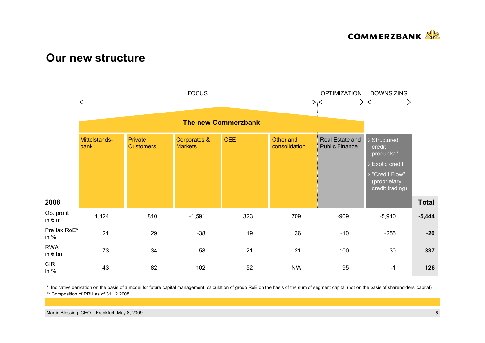

### **Our new structure**



\* Indicative derivation on the basis of a model for future capital management; calculation of group RoE on the basis of the sum of segment capital (not on the basis of shareholders' capital)

\*\* Composition of PRU as of 31.12.2008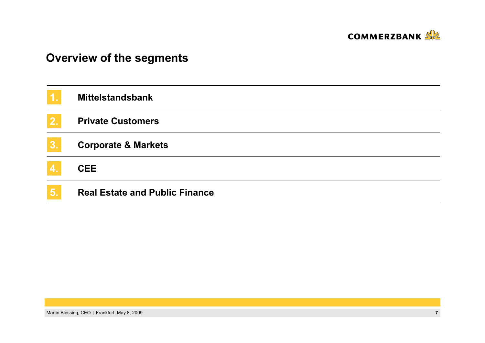

# **Overview of the segments**

| [1]                     | <b>Mittelstandsbank</b>               |
|-------------------------|---------------------------------------|
| 2.                      | <b>Private Customers</b>              |
| 3.                      | <b>Corporate &amp; Markets</b>        |
| $\overline{\mathbf{4}}$ | <b>CEE</b>                            |
| 5.                      | <b>Real Estate and Public Finance</b> |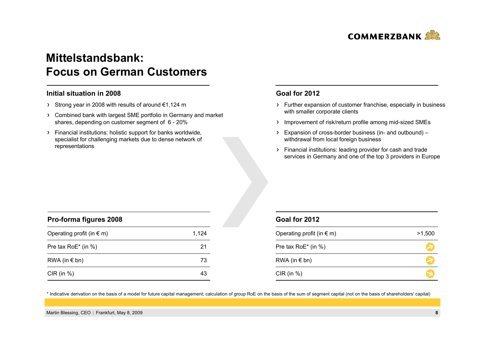

### **Mittelstandsbank: Focus on German Customers**

#### **Initial situation in 2008**

- Strong year in 2008 with results of around €1,124 m
- Combined bank with largest SME portfolio in Germany and market shares, depending on customer segment of 6 - 20%
- Financial institutions: holistic support for banks worldwide, specialist for challenging markets due to dense network of representations

#### **Goal for 2012**

- Further expansion of customer franchise, especially in business with smaller corporate clients
- > Improvement of risk/return profile among mid-sized SMEs
- Expansion of cross-border business (in- and outbound) withdrawal from local foreign business
- Financial institutions: leading provider for cash and trade services in Germany and one of the top 3 providers in Europe

| Pro-forma figures 2008             |       |  |
|------------------------------------|-------|--|
| Operating profit (in $\epsilon$ m) | 1,124 |  |
| Pre tax RoE* (in %)                | 21    |  |
| RWA (in $\epsilon$ bn)             | 73    |  |
| $CIR$ (in $%$ )                    | 43    |  |

#### **Goal for 2012**

| Operating profit (in $\epsilon$ m) | >1,500 |
|------------------------------------|--------|
| Pre tax RoE* (in %)                |        |
| RWA (in $\notin$ bn)               |        |
| CIR (in $%$ )                      |        |

\* Indicative derivation on the basis of a model for future capital management; calculation of group RoE on the basis of the sum of segment capital (not on the basis of shareholders' capital)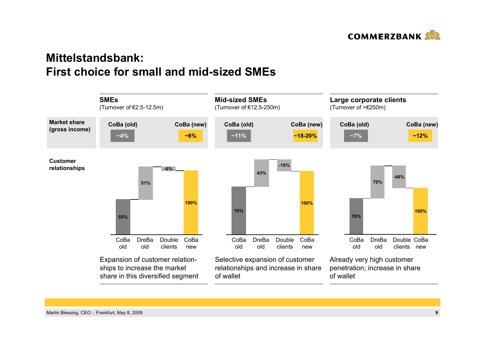

### **Mittelstandsbank: First choice for small and mid-sized SMEs**

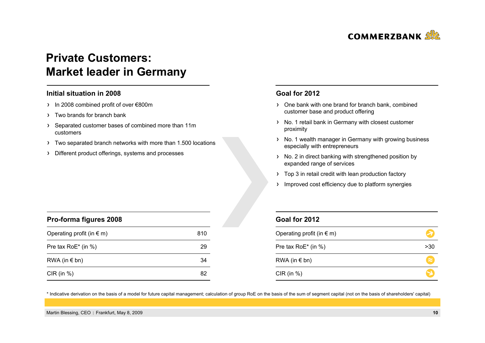

### **Private Customers: Market leader in Germany**

#### **Initial situation in 2008**

- In 2008 combined profit of over €800m
- > Two brands for branch bank

**Pro-forma figures 2008**

- Separated customer bases of combined more than 11m customers
- Two separated branch networks with more than 1.500 locations
- Different product offerings, systems and processes

#### **Goal for 2012**

- One bank with one brand for branch bank, combined customer base and product offering
- > No. 1 retail bank in Germany with closest customer proximity
- > No. 1 wealth manager in Germany with growing business especially with entrepreneurs
- > No. 2 in direct banking with strengthened position by expanded range of services
- > Top 3 in retail credit with lean production factory
- > Improved cost efficiency due to platform synergies

| Pro-forma ligures 2008             |     |
|------------------------------------|-----|
| Operating profit (in $\epsilon$ m) | 810 |
| Pre tax RoE* (in %)                | 29  |
| RWA (in $\epsilon$ bn)             | 34  |
| $CIR$ (in $%$ )                    | 82  |

#### **Goal for 2012**

| Operating profit (in $\epsilon$ m) |           |
|------------------------------------|-----------|
| Pre tax RoE* (in %)                | >30       |
| RWA (in $\notin$ bn)               | $\approx$ |
| $CIR$ (in $%$ )                    |           |

\* Indicative derivation on the basis of a model for future capital management; calculation of group RoE on the basis of the sum of segment capital (not on the basis of shareholders' capital)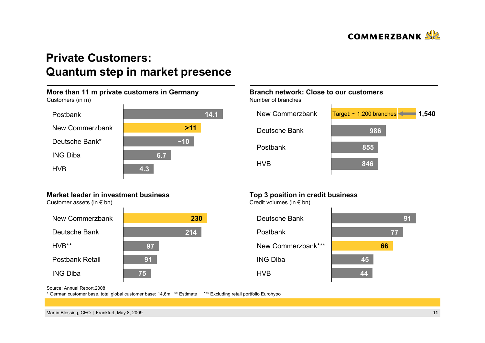

### **Private Customers: Quantum step in market presence**

#### **More than 11 m private customers in Germany** Customers (in m) HVB PostbankING DibaNew CommerzbankDeutsche Bank\*~**>1114.1~106.74.3**

#### **Market leader in investment business**

Customer assets (in  $\epsilon$  bn)



### **Branch network: Close to our customers**

Number of branches



### **Top 3 position in credit business**

Credit volumes (in € bn)



Source: Annual Report.2008

\* German customer base, total global customer base: 14,6m \*\* Estimate \*\*\* Excluding retail portfolio Eurohypo

Martin Blessing, CEO Frankfurt, May 8, 2009 **11**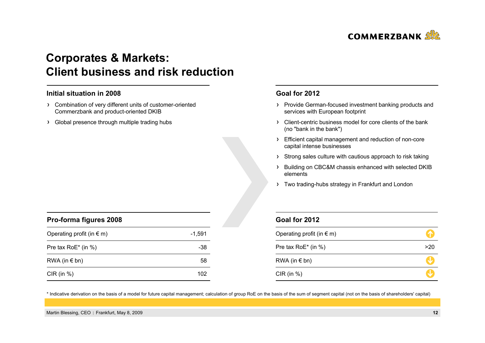

### **Corporates & Markets: Client business and risk reduction**

#### **Initial situation in 2008**

- Combination of very different units of customer-oriented Commerzbank and product-oriented DKIB
- > Global presence through multiple trading hubs

#### **Goal for 2012**

- > Provide German-focused investment banking products and services with European footprint
- Client-centric business model for core clients of the bank (no "bank in the bank")
- Efficient capital management and reduction of non-core capital intense businesses
- > Strong sales culture with cautious approach to risk taking
- > Building on CBC&M chassis enhanced with selected DKIB elements
- > Two trading-hubs strategy in Frankfurt and London

| Goal for 2012 |  |  |
|---------------|--|--|
|               |  |  |

| Operating profit (in $\epsilon$ m) |     |
|------------------------------------|-----|
| Pre tax RoE* (in %)                | >20 |
| RWA (in $\notin$ bn)               |     |
| $CIR$ (in %)                       |     |

\* Indicative derivation on the basis of a model for future capital management; calculation of group RoE on the basis of the sum of segment capital (not on the basis of shareholders' capital)

| Pro-forma figures 2008             |        |
|------------------------------------|--------|
| Operating profit (in $\epsilon$ m) | -1.591 |
| Pre tax $RoE^*$ (in %)             | -38    |
| RWA (in $\epsilon$ bn)             | 58     |
| $CIR$ (in $%$ )                    | 102    |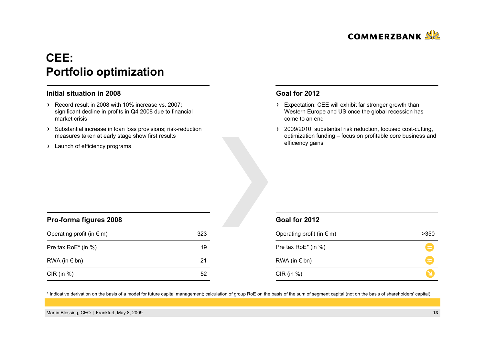

# **CEE: Portfolio optimization**

#### **Initial situation in 2008**

- Record result in 2008 with 10% increase vs. 2007; significant decline in profits in Q4 2008 due to financial market crisis
- > Substantial increase in loan loss provisions; risk-reduction measures taken at early stage show first results
- > Launch of efficiency programs

#### **Goal for 2012**

- > Expectation: CEE will exhibit far stronger growth than Western Europe and US once the global recession has come to an end
- > 2009/2010: substantial risk reduction, focused cost-cutting, optimization funding – focus on profitable core business and efficiency gains

| Pro-forma figures 2008             |     |  |
|------------------------------------|-----|--|
| Operating profit (in $\epsilon$ m) | 323 |  |
| Pre tax RoE* (in %)                | 19  |  |
| $RWA$ (in $\in$ bn)                | 21  |  |
| $CIR$ (in $%$ )                    |     |  |

#### **Goal for 2012**

| Operating profit (in $\epsilon$ m) | >350      |
|------------------------------------|-----------|
| Pre tax RoE* (in %)                | $\approx$ |
| RWA (in $\notin$ bn)               | $\approx$ |
| CIR (in $%$ )                      |           |

\* Indicative derivation on the basis of a model for future capital management; calculation of group RoE on the basis of the sum of segment capital (not on the basis of shareholders' capital)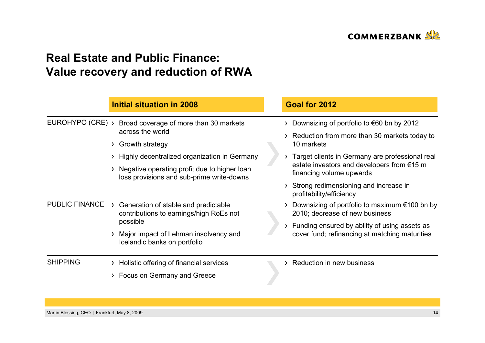

### **Real Estate and Public Finance: Value recovery and reduction of RWA**

|                       |   | <b>Initial situation in 2008</b>                                                                                                                                                                                           |  | Goal for 2012                                                                                                                                                                                                                                                                                                         |
|-----------------------|---|----------------------------------------------------------------------------------------------------------------------------------------------------------------------------------------------------------------------------|--|-----------------------------------------------------------------------------------------------------------------------------------------------------------------------------------------------------------------------------------------------------------------------------------------------------------------------|
| EUROHYPO (CRE) >      | ≻ | Broad coverage of more than 30 markets<br>across the world<br>Growth strategy<br>Highly decentralized organization in Germany<br>Negative operating profit due to higher loan<br>loss provisions and sub-prime write-downs |  | Downsizing of portfolio to $\epsilon$ 60 bn by 2012<br>Reduction from more than 30 markets today to<br>10 markets<br>Target clients in Germany are professional real<br>estate investors and developers from $€15$ m<br>financing volume upwards<br>Strong redimensioning and increase in<br>profitability/efficiency |
| <b>PUBLIC FINANCE</b> |   | Generation of stable and predictable<br>contributions to earnings/high RoEs not<br>possible<br>Major impact of Lehman insolvency and<br>Icelandic banks on portfolio                                                       |  | Downsizing of portfolio to maximum $€100$ bn by<br>2010; decrease of new business<br>Funding ensured by ability of using assets as<br>cover fund; refinancing at matching maturities                                                                                                                                  |
| <b>SHIPPING</b>       |   | Holistic offering of financial services<br>> Focus on Germany and Greece                                                                                                                                                   |  | Reduction in new business                                                                                                                                                                                                                                                                                             |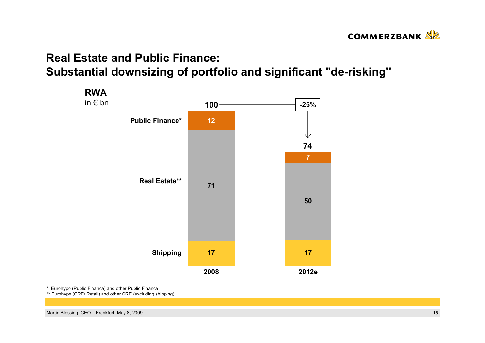

# **Real Estate and Public Finance:Substantial downsizing of portfolio and significant "de-risking"**



\* Eurohypo (Public Finance) and other Public Finance

\*\* Eurohypo (CRE/ Retail) and other CRE (excluding shipping)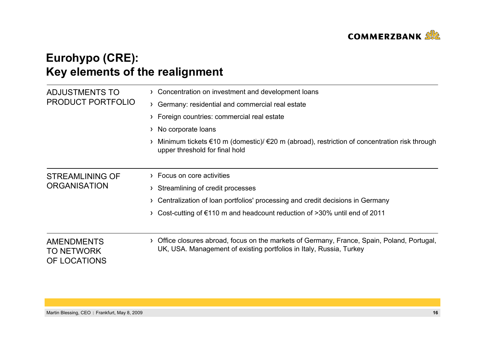

# **Eurohypo (CRE): Key elements of the realignment**

| ADJUSTMENTS TO                                         | Concentration on investment and development loans                                                                                                                     |  |  |  |
|--------------------------------------------------------|-----------------------------------------------------------------------------------------------------------------------------------------------------------------------|--|--|--|
| <b>PRODUCT PORTFOLIO</b>                               | Germany: residential and commercial real estate                                                                                                                       |  |  |  |
|                                                        | Foreign countries: commercial real estate                                                                                                                             |  |  |  |
|                                                        | No corporate loans<br>≻                                                                                                                                               |  |  |  |
|                                                        | Minimum tickets $\epsilon$ 10 m (domestic)/ $\epsilon$ 20 m (abroad), restriction of concentration risk through<br>upper threshold for final hold                     |  |  |  |
| STREAMLINING OF                                        | Focus on core activities                                                                                                                                              |  |  |  |
| <b>ORGANISATION</b>                                    | Streamlining of credit processes                                                                                                                                      |  |  |  |
|                                                        | Centralization of loan portfolios' processing and credit decisions in Germany                                                                                         |  |  |  |
|                                                        | Cost-cutting of $\epsilon$ 110 m and headcount reduction of >30% until end of 2011                                                                                    |  |  |  |
| <b>AMENDMENTS</b><br><b>TO NETWORK</b><br>OF LOCATIONS | Office closures abroad, focus on the markets of Germany, France, Spain, Poland, Portugal,<br>≻<br>UK, USA. Management of existing portfolios in Italy, Russia, Turkey |  |  |  |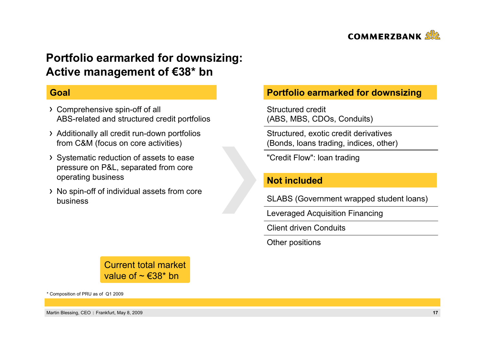

### **Portfolio earmarked for downsizing: Active management of €38\* bn**

### **Goal**

- Comprehensive spin-off of all ABS-related and structured credit portfolios
- Additionally all credit run-down portfolios from C&M (focus on core activities)
- Systematic reduction of assets to ease pressure on P&L, separated from core operating business
- No spin-off of individual assets from core business

### **Portfolio earmarked for downsizing**

Structured credit(ABS, MBS, CDOs, Conduits)

Structured, exotic credit derivatives (Bonds, loans trading, indices, other)

"Credit Flow": loan trading

### **Not included**

SLABS (Government wrapped student loans)

Leveraged Acquisition Financing

Client driven Conduits

Other positions

Current total marketvalue of  $\sim \text{\textsterling}38^*$  bn

\* Composition of PRU as of Q1 2009

Martin Blessing, CEO Frankfurt, May 8, 2009 **17**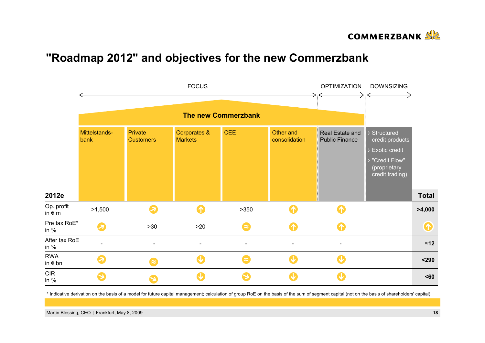

### **"Roadmap 2012" and objectives for the new Commerzbank**



\* Indicative derivation on the basis of a model for future capital management; calculation of group RoE on the basis of the sum of segment capital (not on the basis of shareholders' capital)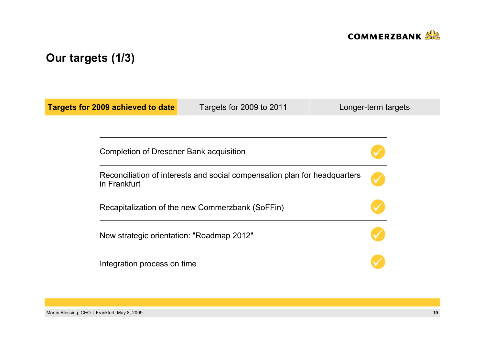

# **Our targets (1/3)**

| <b>Targets for 2009 achieved to date</b> | Targets for 2009 to 2011                                                                      | Longer-term targets |  |  |  |
|------------------------------------------|-----------------------------------------------------------------------------------------------|---------------------|--|--|--|
|                                          |                                                                                               |                     |  |  |  |
|                                          | Completion of Dresdner Bank acquisition                                                       |                     |  |  |  |
| in Frankfurt                             | Reconciliation of interests and social compensation plan for headquarters                     |                     |  |  |  |
|                                          | Recapitalization of the new Commerzbank (SoFFin)<br>New strategic orientation: "Roadmap 2012" |                     |  |  |  |
|                                          |                                                                                               |                     |  |  |  |
| Integration process on time              |                                                                                               |                     |  |  |  |

Martin Blessing, CEO | Frankfurt, May 8, 2009 **19**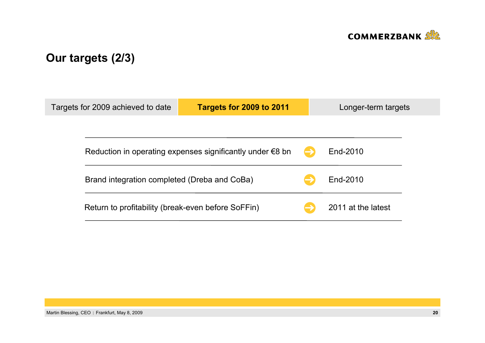

# **Our targets (2/3)**

| Targets for 2009 achieved to date                                   | Targets for 2009 to 2011 |  | Longer-term targets |  |
|---------------------------------------------------------------------|--------------------------|--|---------------------|--|
|                                                                     |                          |  |                     |  |
| Reduction in operating expenses significantly under $\epsilon$ 8 bn |                          |  | End-2010            |  |
| Brand integration completed (Dreba and CoBa)                        |                          |  | End-2010            |  |
| Return to profitability (break-even before SoFFin)                  |                          |  | 2011 at the latest  |  |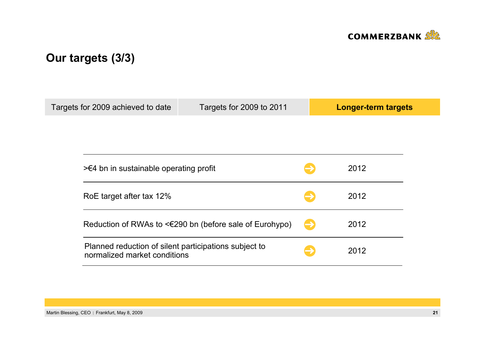

# **Our targets (3/3)**

| Targets for 2009 achieved to date                                                     | Targets for 2009 to 2011                                     |               | <b>Longer-term targets</b> |
|---------------------------------------------------------------------------------------|--------------------------------------------------------------|---------------|----------------------------|
|                                                                                       |                                                              |               |                            |
|                                                                                       |                                                              |               |                            |
|                                                                                       | $\geq 4$ bn in sustainable operating profit                  |               |                            |
| RoE target after tax 12%                                                              |                                                              |               |                            |
|                                                                                       | Reduction of RWAs to $\leq 290$ bn (before sale of Eurohypo) | $\rightarrow$ | 2012                       |
| Planned reduction of silent participations subject to<br>normalized market conditions |                                                              |               | 2012                       |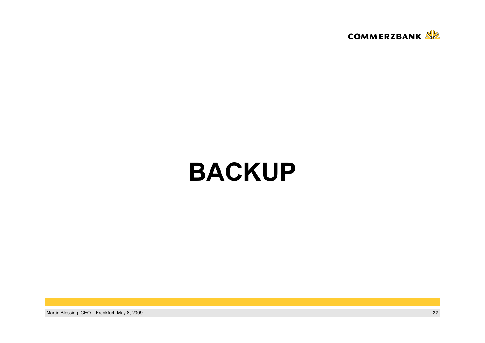

# **BACKUP**

Martin Blessing, CEO | Frankfurt, May 8, 2009 **22**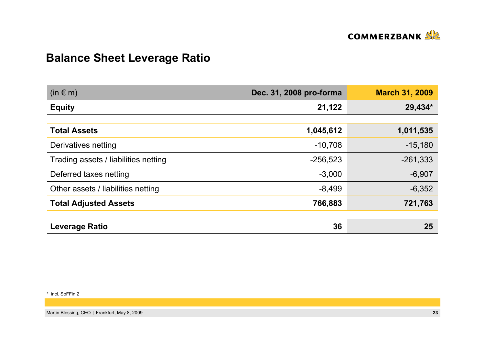

# **Balance Sheet Leverage Ratio**

| $(in \in m)$                         | Dec. 31, 2008 pro-forma | <b>March 31, 2009</b> |
|--------------------------------------|-------------------------|-----------------------|
| <b>Equity</b>                        | 21,122                  | 29,434*               |
|                                      |                         |                       |
| <b>Total Assets</b>                  | 1,045,612               | 1,011,535             |
| Derivatives netting                  | $-10,708$               | $-15,180$             |
| Trading assets / liabilities netting | $-256,523$              | $-261,333$            |
| Deferred taxes netting               | $-3,000$                | $-6,907$              |
| Other assets / liabilities netting   | $-8,499$                | $-6,352$              |
| <b>Total Adjusted Assets</b>         | 766,883                 | 721,763               |
|                                      |                         |                       |
| <b>Leverage Ratio</b>                | 36                      | 25                    |

\* incl. SoFFin 2

Martin Blessing, CEO | Frankfurt, May 8, 2009 **23** and the state of the state of the state of the state of the state of the state of the state of the state of the state of the state of the state of the state of the state o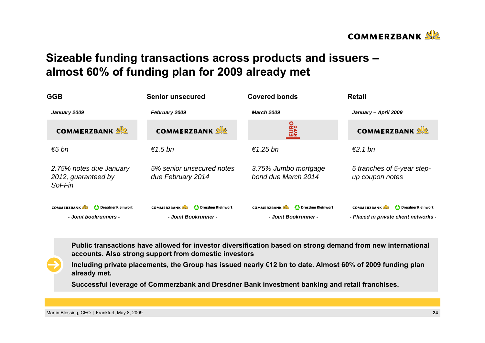

### **Sizeable funding transactions across products and issuers – almost 60% of funding plan for 2009 already met**

| <b>GGB</b>                                                        | <b>Senior unsecured</b>                                          | <b>Covered bonds</b>                                             | Retail                                                                            |  |
|-------------------------------------------------------------------|------------------------------------------------------------------|------------------------------------------------------------------|-----------------------------------------------------------------------------------|--|
| January 2009                                                      | February 2009                                                    | <b>March 2009</b>                                                | January - April 2009                                                              |  |
| <b>COMMERZBANK SEA</b>                                            | <b>COMMERZBANK</b>                                               | <b>EURO</b>                                                      | <b>COMMERZBANK</b>                                                                |  |
| €5 bn                                                             | $€1.5$ bn                                                        | €1.25 bn                                                         | $\epsilon$ 2.1 bn                                                                 |  |
| 2.75% notes due January<br>2012, guaranteed by<br><b>SoFFin</b>   | 5% senior unsecured notes<br>due February 2014                   | 3.75% Jumbo mortgage<br>bond due March 2014                      | 5 tranches of 5-year step-<br>up coupon notes                                     |  |
| <b>COMMERZBANK</b><br>Dresdner Kleinwort<br>- Joint bookrunners - | Dresdner Kleinwort<br><b>COMMERZBANK</b><br>- Joint Bookrunner - | <b>COMMERZBANK</b><br>Dresdner Kleinwort<br>- Joint Bookrunner - | <b>COMMERZBANK</b><br>Dresdner Kleinwort<br>- Placed in private client networks - |  |

**Public transactions have allowed for investor diversification based on strong demand from new international accounts. Also strong support from domestic investors**

**Including private placements, the Group has issued nearly €12 bn to date. Almost 60% of 2009 funding plan already met.**

**Successful leverage of Commerzbank and Dresdner Bank investment banking and retail franchises.**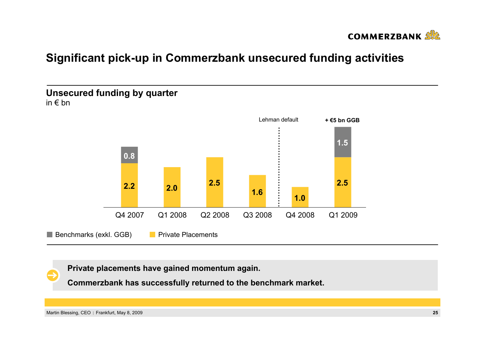

### **Significant pick-up in Commerzbank unsecured funding activities**



**Private placements have gained momentum again.**

**Commerzbank has successfully returned to the benchmark market.**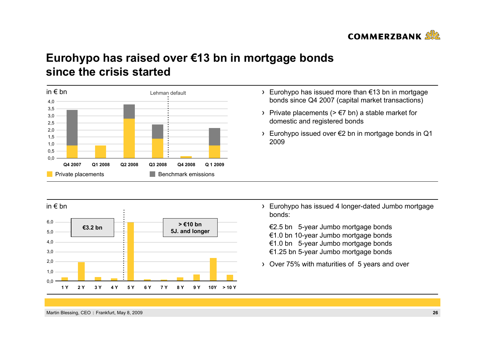

### **Eurohypo has raised over €13 bn in mortgage bonds since the crisis started**



- Eurohypo has issued more than €13 bn in mortgage bonds since Q4 2007 (capital market transactions)
- > Private placements ( $> \epsilon$ 7 bn) a stable market for domestic and registered bonds
- Eurohypo issued over €2 bn in mortgage bonds in Q1 2009

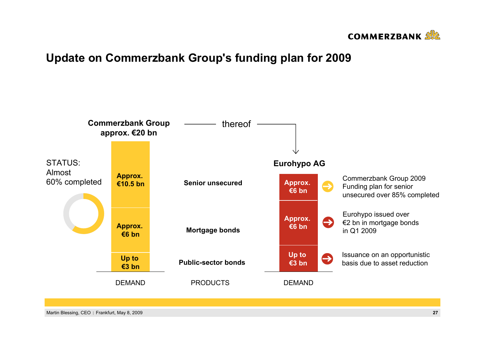

### **Update on Commerzbank Group's funding plan for 2009**

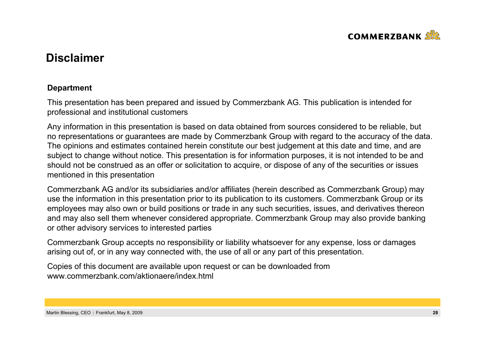

### **Disclaimer**

### **Department**

This presentation has been prepared and issued by Commerzbank AG. This publication is intended for professional and institutional customers

Any information in this presentation is based on data obtained from sources considered to be reliable, but no representations or guarantees are made by Commerzbank Group with regard to the accuracy of the data. The opinions and estimates contained herein constitute our best judgement at this date and time, and are subject to change without notice. This presentation is for information purposes, it is not intended to be and should not be construed as an offer or solicitation to acquire, or dispose of any of the securities or issues mentioned in this presentation

Commerzbank AG and/or its subsidiaries and/or affiliates (herein described as Commerzbank Group) may use the information in this presentation prior to its publication to its customers. Commerzbank Group or its employees may also own or build positions or trade in any such securities, issues, and derivatives thereon and may also sell them whenever considered appropriate. Commerzbank Group may also provide banking or other advisory services to interested parties

Commerzbank Group accepts no responsibility or liability whatsoever for any expense, loss or damages arising out of, or in any way connected with, the use of all or any part of this presentation.

Copies of this document are available upon request or can be downloaded from www.commerzbank.com/aktionaere/index.html